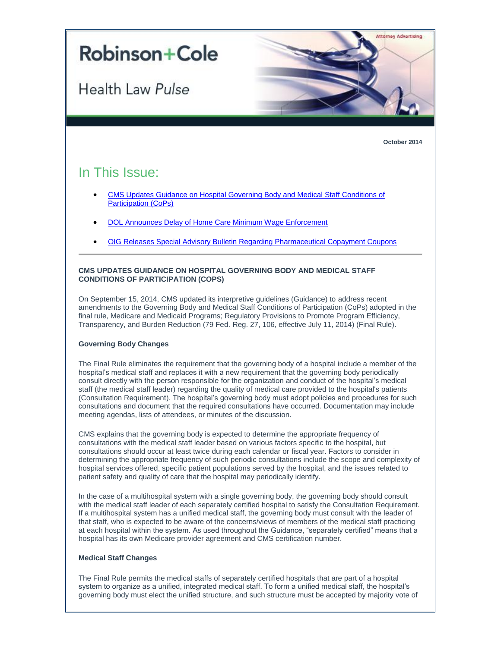

**October 2014**

# In This Issue:

- [CMS Updates Guidance on Hospital Governing Body and Medical Staff Conditions of](#page-0-0)  [Participation \(CoPs\)](#page-0-0)
- [DOL Announces Delay of Home Care Minimum Wage Enforcement](#page-2-0)
- <span id="page-0-0"></span>[OIG Releases Special Advisory Bulletin Regarding Pharmaceutical Copayment Coupons](#page-2-1)

# **CMS UPDATES GUIDANCE ON HOSPITAL GOVERNING BODY AND MEDICAL STAFF CONDITIONS OF PARTICIPATION (COPS)**

On September 15, 2014, CMS updated its interpretive guidelines (Guidance) to address recent amendments to the Governing Body and Medical Staff Conditions of Participation (CoPs) adopted in the final rule, Medicare and Medicaid Programs; Regulatory Provisions to Promote Program Efficiency, Transparency, and Burden Reduction (79 Fed. Reg. 27, 106, effective July 11, 2014) (Final Rule).

## **Governing Body Changes**

The Final Rule eliminates the requirement that the governing body of a hospital include a member of the hospital's medical staff and replaces it with a new requirement that the governing body periodically consult directly with the person responsible for the organization and conduct of the hospital's medical staff (the medical staff leader) regarding the quality of medical care provided to the hospital's patients (Consultation Requirement). The hospital's governing body must adopt policies and procedures for such consultations and document that the required consultations have occurred. Documentation may include meeting agendas, lists of attendees, or minutes of the discussion.

CMS explains that the governing body is expected to determine the appropriate frequency of consultations with the medical staff leader based on various factors specific to the hospital, but consultations should occur at least twice during each calendar or fiscal year. Factors to consider in determining the appropriate frequency of such periodic consultations include the scope and complexity of hospital services offered, specific patient populations served by the hospital, and the issues related to patient safety and quality of care that the hospital may periodically identify.

In the case of a multihospital system with a single governing body, the governing body should consult with the medical staff leader of each separately certified hospital to satisfy the Consultation Requirement. If a multihospital system has a unified medical staff, the governing body must consult with the leader of that staff, who is expected to be aware of the concerns/views of members of the medical staff practicing at each hospital within the system. As used throughout the Guidance, "separately certified" means that a hospital has its own Medicare provider agreement and CMS certification number.

## **Medical Staff Changes**

The Final Rule permits the medical staffs of separately certified hospitals that are part of a hospital system to organize as a unified, integrated medical staff. To form a unified medical staff, the hospital's governing body must elect the unified structure, and such structure must be accepted by majority vote of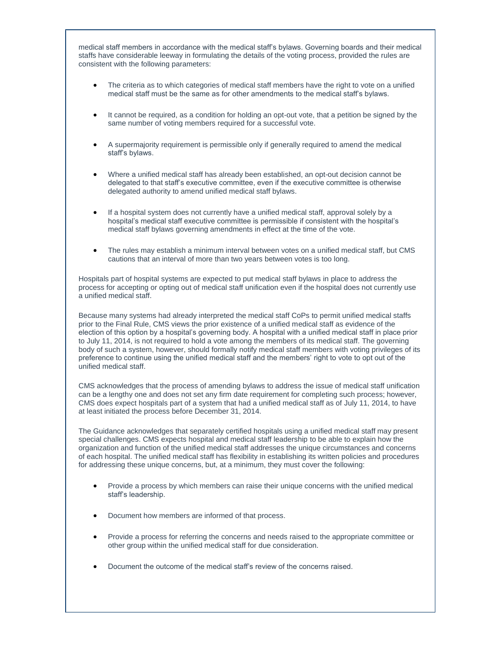medical staff members in accordance with the medical staff's bylaws. Governing boards and their medical staffs have considerable leeway in formulating the details of the voting process, provided the rules are consistent with the following parameters:

- The criteria as to which categories of medical staff members have the right to vote on a unified medical staff must be the same as for other amendments to the medical staff's bylaws.
- It cannot be required, as a condition for holding an opt-out vote, that a petition be signed by the same number of voting members required for a successful vote.
- A supermajority requirement is permissible only if generally required to amend the medical staff's bylaws.
- Where a unified medical staff has already been established, an opt-out decision cannot be delegated to that staff's executive committee, even if the executive committee is otherwise delegated authority to amend unified medical staff bylaws.
- If a hospital system does not currently have a unified medical staff, approval solely by a hospital's medical staff executive committee is permissible if consistent with the hospital's medical staff bylaws governing amendments in effect at the time of the vote.
- The rules may establish a minimum interval between votes on a unified medical staff, but CMS cautions that an interval of more than two years between votes is too long.

Hospitals part of hospital systems are expected to put medical staff bylaws in place to address the process for accepting or opting out of medical staff unification even if the hospital does not currently use a unified medical staff.

Because many systems had already interpreted the medical staff CoPs to permit unified medical staffs prior to the Final Rule, CMS views the prior existence of a unified medical staff as evidence of the election of this option by a hospital's governing body. A hospital with a unified medical staff in place prior to July 11, 2014, is not required to hold a vote among the members of its medical staff. The governing body of such a system, however, should formally notify medical staff members with voting privileges of its preference to continue using the unified medical staff and the members' right to vote to opt out of the unified medical staff.

CMS acknowledges that the process of amending bylaws to address the issue of medical staff unification can be a lengthy one and does not set any firm date requirement for completing such process; however, CMS does expect hospitals part of a system that had a unified medical staff as of July 11, 2014, to have at least initiated the process before December 31, 2014.

The Guidance acknowledges that separately certified hospitals using a unified medical staff may present special challenges. CMS expects hospital and medical staff leadership to be able to explain how the organization and function of the unified medical staff addresses the unique circumstances and concerns of each hospital. The unified medical staff has flexibility in establishing its written policies and procedures for addressing these unique concerns, but, at a minimum, they must cover the following:

- Provide a process by which members can raise their unique concerns with the unified medical staff's leadership.
- Document how members are informed of that process.
- Provide a process for referring the concerns and needs raised to the appropriate committee or other group within the unified medical staff for due consideration.
- Document the outcome of the medical staff's review of the concerns raised.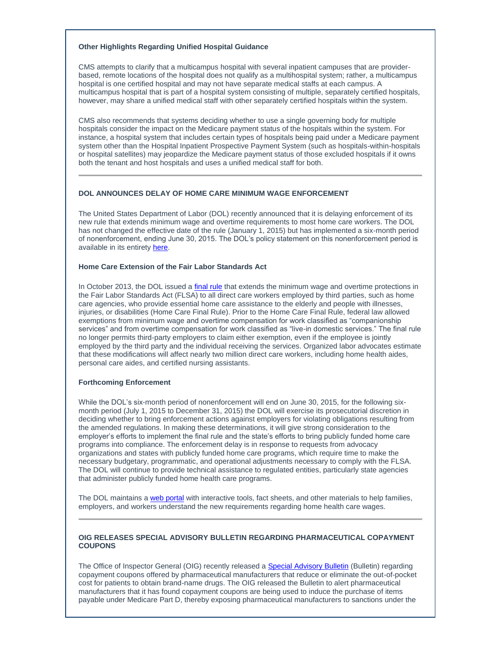## **Other Highlights Regarding Unified Hospital Guidance**

CMS attempts to clarify that a multicampus hospital with several inpatient campuses that are providerbased, remote locations of the hospital does not qualify as a multihospital system; rather, a multicampus hospital is one certified hospital and may not have separate medical staffs at each campus. A multicampus hospital that is part of a hospital system consisting of multiple, separately certified hospitals, however, may share a unified medical staff with other separately certified hospitals within the system.

CMS also recommends that systems deciding whether to use a single governing body for multiple hospitals consider the impact on the Medicare payment status of the hospitals within the system. For instance, a hospital system that includes certain types of hospitals being paid under a Medicare payment system other than the Hospital Inpatient Prospective Payment System (such as hospitals-within-hospitals or hospital satellites) may jeopardize the Medicare payment status of those excluded hospitals if it owns both the tenant and host hospitals and uses a unified medical staff for both.

## <span id="page-2-0"></span>**DOL ANNOUNCES DELAY OF HOME CARE MINIMUM WAGE ENFORCEMENT**

The United States Department of Labor (DOL) recently announced that it is delaying enforcement of its new rule that extends minimum wage and overtime requirements to most home care workers. The DOL has not changed the effective date of the rule (January 1, 2015) but has implemented a six-month period of nonenforcement, ending June 30, 2015. The DOL's policy statement on this nonenforcement period is available in its entirety [here.](http://t2806904.omkt.co/track.aspx?id=402|2AD478|6F10|19C|7BA|0|5EC|1|67F8639E&destination=http%3a%2f%2fwebapps.dol.gov%2fFederalRegister%2fPdfDisplay.aspx%3fDocId%3d27848&dchk=482D1AD1)

#### **Home Care Extension of the Fair Labor Standards Act**

In October 2013, the DOL issued [a final rule](http://t2806904.omkt.co/track.aspx?id=402|2AD478|6F10|19C|7BA|0|5ED|1|67F8639E&destination=http%3a%2f%2fwww.gpo.gov%2ffdsys%2fpkg%2fFR-2013-10-01%2fpdf%2f2013-22799.pdf&dchk=EA5A10) that extends the minimum wage and overtime protections in the Fair Labor Standards Act (FLSA) to all direct care workers employed by third parties, such as home care agencies, who provide essential home care assistance to the elderly and people with illnesses, injuries, or disabilities (Home Care Final Rule). Prior to the Home Care Final Rule, federal law allowed exemptions from minimum wage and overtime compensation for work classified as "companionship services" and from overtime compensation for work classified as "live-in domestic services." The final rule no longer permits third-party employers to claim either exemption, even if the employee is jointly employed by the third party and the individual receiving the services. Organized labor advocates estimate that these modifications will affect nearly two million direct care workers, including home health aides, personal care aides, and certified nursing assistants.

## **Forthcoming Enforcement**

While the DOL's six-month period of nonenforcement will end on June 30, 2015, for the following sixmonth period (July 1, 2015 to December 31, 2015) the DOL will exercise its prosecutorial discretion in deciding whether to bring enforcement actions against employers for violating obligations resulting from the amended regulations. In making these determinations, it will give strong consideration to the employer's efforts to implement the final rule and the state's efforts to bring publicly funded home care programs into compliance. The enforcement delay is in response to requests from advocacy organizations and states with publicly funded home care programs, which require time to make the necessary budgetary, programmatic, and operational adjustments necessary to comply with the FLSA. The DOL will continue to provide technical assistance to regulated entities, particularly state agencies that administer publicly funded home health care programs.

The DOL maintains [a web portal](http://t2806904.omkt.co/track.aspx?id=402|2AD478|6F10|19C|7BA|0|5EE|1|67F8639E&destination=http%3a%2f%2fwww.dol.gov%2fwhd%2fhomecare%2f&dchk=13F63E8C) with interactive tools, fact sheets, and other materials to help families, employers, and workers understand the new requirements regarding home health care wages.

#### <span id="page-2-1"></span>**OIG RELEASES SPECIAL ADVISORY BULLETIN REGARDING PHARMACEUTICAL COPAYMENT COUPONS**

The Office of Inspector General (OIG) recently released [a Special Advisory Bulletin](http://t2806904.omkt.co/track.aspx?id=402|2AD478|6F10|19C|7BA|0|5EF|1|67F8639E&destination=http%3a%2f%2foig.hhs.gov%2ffraud%2fdocs%2falertsandbulletins%2f2014%2fSAB_Copayment_Coupons.pdf&dchk=1D3B9D00) (Bulletin) regarding copayment coupons offered by pharmaceutical manufacturers that reduce or eliminate the out-of-pocket cost for patients to obtain brand-name drugs. The OIG released the Bulletin to alert pharmaceutical manufacturers that it has found copayment coupons are being used to induce the purchase of items payable under Medicare Part D, thereby exposing pharmaceutical manufacturers to sanctions under the